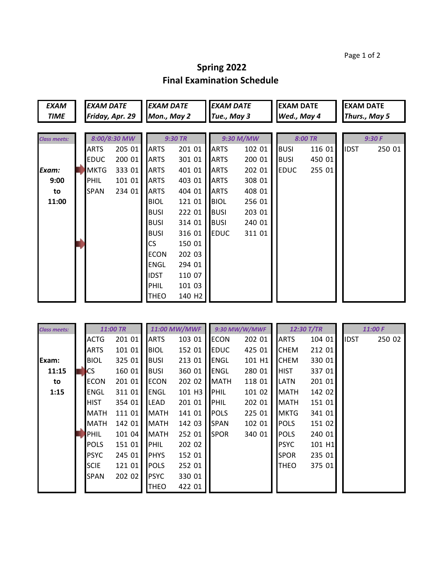Page 1 of 2

## **Spring 2022 Final Examination Schedule**

| <b>EXAM</b><br><b>TIME</b> | <b>EXAM DATE</b><br>Friday, Apr. 29 |        | <b>EXAM DATE</b><br>Mon., May 2 |                    | <b>EXAM DATE</b><br>Tue., May 3 |        | <b>EXAM DATE</b><br>Wed., May 4 |        | <b>EXAM DATE</b><br>Thurs., May 5 |        |  |
|----------------------------|-------------------------------------|--------|---------------------------------|--------------------|---------------------------------|--------|---------------------------------|--------|-----------------------------------|--------|--|
|                            |                                     |        |                                 |                    |                                 |        |                                 |        |                                   |        |  |
| <b>Class meets:</b>        | 8:00/8:30 MW                        |        | <b>9:30 TR</b>                  |                    | 9:30 M/MW                       |        | 8:00 TR                         |        | 9:30F                             |        |  |
|                            | <b>ARTS</b>                         | 205 01 | <b>ARTS</b>                     | 201 01             | <b>ARTS</b>                     | 102 01 | <b>BUSI</b>                     | 116 01 | <b>IDST</b>                       | 250 01 |  |
|                            | <b>EDUC</b>                         | 200 01 | <b>ARTS</b>                     | 301 01             | <b>ARTS</b>                     | 200 01 | <b>BUSI</b>                     | 450 01 |                                   |        |  |
| Exam:                      | <b>MKTG</b>                         | 333 01 | <b>ARTS</b>                     | 401 01             | <b>ARTS</b>                     | 202 01 | <b>EDUC</b>                     | 255 01 |                                   |        |  |
| 9:00                       | <b>PHIL</b>                         | 101 01 | <b>ARTS</b>                     | 403 01             | <b>ARTS</b>                     | 308 01 |                                 |        |                                   |        |  |
| to                         | <b>ISPAN</b>                        | 234 01 | <b>ARTS</b>                     | 404 01             | <b>ARTS</b>                     | 408 01 |                                 |        |                                   |        |  |
| 11:00                      |                                     |        | <b>BIOL</b>                     | 121 01             | <b>BIOL</b>                     | 256 01 |                                 |        |                                   |        |  |
|                            |                                     |        | <b>BUSI</b>                     | 222 01             | <b>BUSI</b>                     | 203 01 |                                 |        |                                   |        |  |
|                            |                                     |        | <b>BUSI</b>                     | 314 01             | <b>BUSI</b>                     | 240 01 |                                 |        |                                   |        |  |
|                            |                                     |        | <b>BUSI</b>                     | 316 01             | <b>EDUC</b>                     | 311 01 |                                 |        |                                   |        |  |
|                            |                                     |        | CS                              | 150 01             |                                 |        |                                 |        |                                   |        |  |
|                            |                                     |        | <b>ECON</b>                     | 202 03             |                                 |        |                                 |        |                                   |        |  |
|                            |                                     |        | <b>ENGL</b>                     | 294 01             |                                 |        |                                 |        |                                   |        |  |
|                            |                                     |        | <b>IDST</b>                     | 110 07             |                                 |        |                                 |        |                                   |        |  |
|                            |                                     |        | PHIL                            | 101 03             |                                 |        |                                 |        |                                   |        |  |
|                            |                                     |        | <b>THEO</b>                     | 140 H <sub>2</sub> |                                 |        |                                 |        |                                   |        |  |
|                            |                                     |        |                                 |                    |                                 |        |                                 |        |                                   |        |  |

| <b>Class meets:</b> | 11:00 TR    |        | 11:00 MW/MWF |                      | 9:30 MW/W/MWF |        | 12:30 T/TR  |        |             | 11:00 F |        |
|---------------------|-------------|--------|--------------|----------------------|---------------|--------|-------------|--------|-------------|---------|--------|
|                     | ACTG        | 201 01 | ARTS         | 103 01               | <b>ECON</b>   | 202 01 | <b>ARTS</b> | 104 01 | <b>IDST</b> |         | 250 02 |
|                     | <b>ARTS</b> | 101 01 | <b>BIOL</b>  | 152 01               | <b>EDUC</b>   | 425 01 | <b>CHEM</b> | 212 01 |             |         |        |
| Exam:               | <b>BIOL</b> | 325 01 | <b>BUSI</b>  | 213 01               | <b>ENGL</b>   | 101 H1 | <b>CHEM</b> | 330 01 |             |         |        |
| 11:15               | <b>CS</b>   | 160 01 | <b>BUSI</b>  | 360 01               | ENGL          | 280 01 | <b>HIST</b> | 337 01 |             |         |        |
| to                  | <b>ECON</b> | 201 01 | <b>ECON</b>  | 202 02               | MATH          | 118 01 | <b>LATN</b> | 201 01 |             |         |        |
| 1:15                | ENGL        | 311 01 | <b>ENGL</b>  | $101$ H <sub>3</sub> | <b>PHIL</b>   | 101 02 | <b>MATH</b> | 142 02 |             |         |        |
|                     | <b>HIST</b> | 354 01 | <b>LEAD</b>  | 201 01               | PHIL          | 202 01 | <b>MATH</b> | 151 01 |             |         |        |
|                     | <b>MATH</b> | 111 01 | <b>MATH</b>  | 141 01               | <b>POLS</b>   | 225 01 | <b>MKTG</b> | 341 01 |             |         |        |
|                     | MATH        | 142 01 | <b>MATH</b>  | 142 03               | <b>SPAN</b>   | 102 01 | <b>POLS</b> | 151 02 |             |         |        |
|                     | <b>PHIL</b> | 101 04 | <b>MATH</b>  | 252 01               | <b>SPOR</b>   | 340 01 | <b>POLS</b> | 240 01 |             |         |        |
|                     | <b>POLS</b> | 151 01 | <b>PHIL</b>  | 202 02               |               |        | <b>PSYC</b> | 101 H1 |             |         |        |
|                     | <b>PSYC</b> | 24501  | PHYS         | 152 01               |               |        | <b>SPOR</b> | 235 01 |             |         |        |
|                     | <b>SCIE</b> | 12101  | <b>POLS</b>  | 252 01               |               |        | <b>THEO</b> | 375 01 |             |         |        |
|                     | <b>SPAN</b> | 202 02 | <b>PSYC</b>  | 330 01               |               |        |             |        |             |         |        |
|                     |             |        | <b>THEO</b>  | 422 01               |               |        |             |        |             |         |        |

a.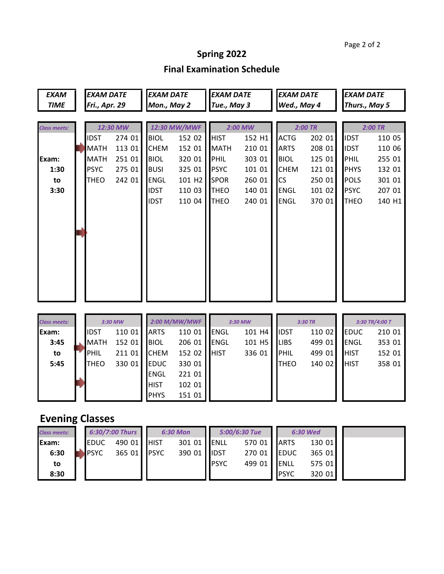## Page 2 of 2

## **Spring 2022**

## **Final Examination Schedule**

| <b>EXAM</b>            | <b>EXAM DATE</b> |               | <b>EXAM DATE</b> |             | <b>EXAM DATE</b>   |             | <b>EXAM DATE</b> |             | <b>EXAM DATE</b> |                |        |  |
|------------------------|------------------|---------------|------------------|-------------|--------------------|-------------|------------------|-------------|------------------|----------------|--------|--|
| <b>TIME</b>            |                  | Fri., Apr. 29 |                  | Mon., May 2 |                    | Tue., May 3 |                  | Wed., May 4 |                  | Thurs., May 5  |        |  |
|                        |                  |               |                  |             |                    |             |                  |             |                  |                |        |  |
| <b>Class meets:</b>    | 12:30 MW         |               |                  |             | 12:30 MW/MWF       | 2:00 MW     |                  |             | 2:00 TR          | $2:00$ TR      |        |  |
|                        |                  | <b>IDST</b>   | 274 01           | <b>BIOL</b> | 152 02             | <b>HIST</b> | 152 H1           | <b>ACTG</b> | 202 01           | <b>IDST</b>    | 110 05 |  |
|                        |                  | <b>MATH</b>   | 113 01           | <b>CHEM</b> | 152 01             | <b>MATH</b> | 210 01           | <b>ARTS</b> | 208 01           | <b>IDST</b>    | 110 06 |  |
| Exam:                  |                  | <b>MATH</b>   | 251 01           | <b>BIOL</b> | 320 01             | PHIL        | 303 01           | <b>BIOL</b> | 125 01           | PHIL           | 255 01 |  |
| 1:30                   |                  | <b>PSYC</b>   | 275 01           | <b>BUSI</b> | 325 01             | <b>PSYC</b> | 101 01           | <b>CHEM</b> | 121 01           | <b>PHYS</b>    | 132 01 |  |
| to                     |                  | <b>THEO</b>   | 242 01           | <b>ENGL</b> | 101 H <sub>2</sub> | <b>SPOR</b> | 260 01           | <b>CS</b>   | 250 01           | <b>POLS</b>    | 301 01 |  |
| 3:30                   |                  |               |                  | <b>IDST</b> | 110 03             | <b>THEO</b> | 140 01           | <b>ENGL</b> | 101 02           | <b>PSYC</b>    | 207 01 |  |
|                        |                  |               |                  | <b>IDST</b> | 110 04             | <b>THEO</b> | 240 01           | <b>ENGL</b> | 370 01           | <b>THEO</b>    | 140 H1 |  |
|                        |                  |               |                  |             |                    |             |                  |             |                  |                |        |  |
|                        |                  |               |                  |             |                    |             |                  |             |                  |                |        |  |
|                        |                  |               |                  |             |                    |             |                  |             |                  |                |        |  |
|                        |                  |               |                  |             |                    |             |                  |             |                  |                |        |  |
|                        |                  |               |                  |             |                    |             |                  |             |                  |                |        |  |
|                        |                  |               |                  |             |                    |             |                  |             |                  |                |        |  |
|                        |                  |               |                  |             |                    |             |                  |             |                  |                |        |  |
|                        |                  |               |                  |             |                    |             |                  |             |                  |                |        |  |
|                        |                  |               |                  |             |                    |             |                  |             |                  |                |        |  |
|                        |                  |               |                  |             |                    |             |                  |             |                  |                |        |  |
| <b>Class meets:</b>    |                  |               | 3:30 MW          |             | 2:00 M/MW/MWF      | 3:30 MW     |                  |             | 3:30 TR          | 3:30 TR/4:00 T |        |  |
| Exam:                  |                  | <b>IDST</b>   | 110 01           | <b>ARTS</b> | 110 01             | <b>ENGL</b> | 101 H4           | <b>IDST</b> | 110 02           | <b>EDUC</b>    | 210 01 |  |
| 3:45                   |                  | <b>MATH</b>   | 152 01           | <b>BIOL</b> | 206 01             | <b>ENGL</b> | 101 H5           | <b>LIBS</b> | 499 01           | <b>ENGL</b>    | 353 01 |  |
| to                     |                  | <b>PHIL</b>   | 211 01           | <b>CHEM</b> | 152 02             | <b>HIST</b> | 336 01           | PHIL        | 499 01           | <b>HIST</b>    | 152 01 |  |
| 5:45                   |                  | <b>THEO</b>   | 330 01           | <b>EDUC</b> | 330 01             |             |                  | <b>THEO</b> | 140 02           | <b>HIST</b>    | 358 01 |  |
|                        |                  |               |                  | <b>ENGL</b> | 221 01             |             |                  |             |                  |                |        |  |
|                        |                  |               |                  | <b>HIST</b> | 102 01             |             |                  |             |                  |                |        |  |
|                        |                  |               |                  | <b>PHYS</b> | 151 01             |             |                  |             |                  |                |        |  |
|                        |                  |               |                  |             |                    |             |                  |             |                  |                |        |  |
| <b>Evening Classes</b> |                  |               |                  |             |                    |             |                  |             |                  |                |        |  |
| <b>Class meets:</b>    |                  |               | 6:30/7:00 Thurs  |             | <b>6:30 Mon</b>    |             | 5:00/6:30 Tue    |             | 6:30 Wed         |                |        |  |
| Exam:                  |                  | <b>EDUC</b>   | 490 01           | <b>HIST</b> | 301 01             | <b>ENLL</b> | 570 01           | <b>ARTS</b> | 130 01           |                |        |  |
| 6:30                   |                  | <b>PSYC</b>   | 365 01           | <b>PSYC</b> | 390 01             | <b>IDST</b> | 270 01           | <b>EDUC</b> | 365 01           |                |        |  |
| to                     |                  |               |                  |             |                    | <b>PSYC</b> | 499 01           | <b>ENLL</b> | 575 01           |                |        |  |
| 8:30                   |                  |               |                  |             |                    |             |                  | <b>PSYC</b> | 320 01           |                |        |  |
|                        |                  |               |                  |             |                    |             |                  |             |                  |                |        |  |